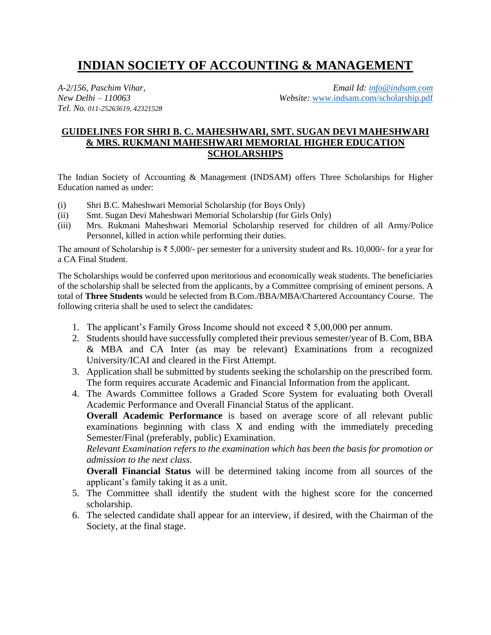# **INDIAN SOCIETY OF ACCOUNTING & MANAGEMENT**

*Tel. No. 011-25263619, 42321528*

*A-2/156, Paschim Vihar, Email Id: [info@indsam.com](mailto:info@indsam.com) New Delhi – 110063 Website:* [www.indsam.com/scholarship.pdf](http://www.indsam.com/scholarship.pdf)

### **GUIDELINES FOR SHRI B. C. MAHESHWARI, SMT. SUGAN DEVI MAHESHWARI & MRS. RUKMANI MAHESHWARI MEMORIAL HIGHER EDUCATION SCHOLARSHIPS**

The Indian Society of Accounting & Management (INDSAM) offers Three Scholarships for Higher Education named as under:

- (i) Shri B.C. Maheshwari Memorial Scholarship (for Boys Only)
- (ii) Smt. Sugan Devi Maheshwari Memorial Scholarship (for Girls Only)
- (iii) Mrs. Rukmani Maheshwari Memorial Scholarship reserved for children of all Army/Police Personnel, killed in action while performing their duties.

The amount of Scholarship is  $\overline{\xi}$  5,000/- per semester for a university student and Rs. 10,000/- for a year for a CA Final Student.

The Scholarships would be conferred upon meritorious and economically weak students. The beneficiaries of the scholarship shall be selected from the applicants, by a Committee comprising of eminent persons. A total of **Three Students** would be selected from B.Com./BBA/MBA/Chartered Accountancy Course. The following criteria shall be used to select the candidates:

- 1. The applicant's Family Gross Income should not exceed ₹ 5,00,000 per annum.
- 2. Students should have successfully completed their previous semester/year of B. Com, BBA & MBA and CA Inter (as may be relevant) Examinations from a recognized University/ICAI and cleared in the First Attempt.
- 3. Application shall be submitted by students seeking the scholarship on the prescribed form. The form requires accurate Academic and Financial Information from the applicant.
- 4. The Awards Committee follows a Graded Score System for evaluating both Overall Academic Performance and Overall Financial Status of the applicant.

**Overall Academic Performance** is based on average score of all relevant public examinations beginning with class X and ending with the immediately preceding Semester/Final (preferably, public) Examination.

*Relevant Examination refers to the examination which has been the basis for promotion or admission to the next class.*

**Overall Financial Status** will be determined taking income from all sources of the applicant's family taking it as a unit.

- 5. The Committee shall identify the student with the highest score for the concerned scholarship.
- 6. The selected candidate shall appear for an interview, if desired, with the Chairman of the Society, at the final stage.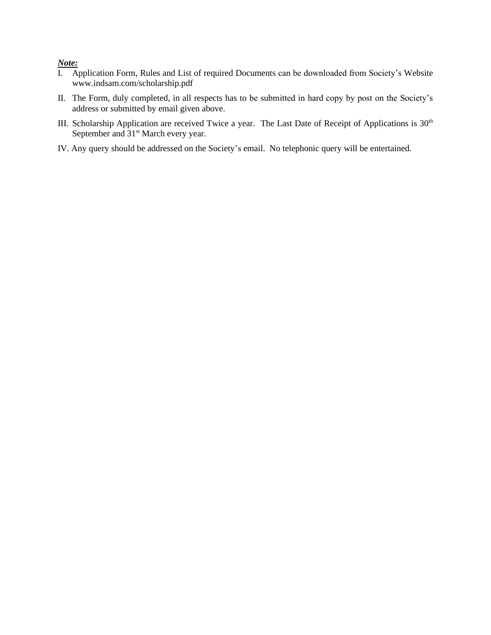#### *Note:*

- I. Application Form, Rules and List of required Documents can be downloaded from Society's Website www.indsam.com/scholarship.pdf
- II. The Form, duly completed, in all respects has to be submitted in hard copy by post on the Society's address or submitted by email given above.
- III. Scholarship Application are received Twice a year. The Last Date of Receipt of Applications is 30<sup>th</sup> September and 31<sup>st</sup> March every year.
- IV. Any query should be addressed on the Society's email. No telephonic query will be entertained.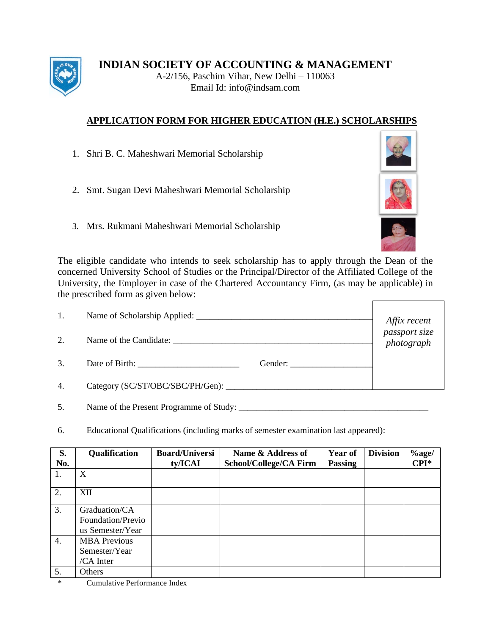

**INDIAN SOCIETY OF ACCOUNTING & MANAGEMENT**

A-2/156, Paschim Vihar, New Delhi – 110063 Email Id: info@indsam.com

## **APPLICATION FORM FOR HIGHER EDUCATION (H.E.) SCHOLARSHIPS**

- 1. Shri B. C. Maheshwari Memorial Scholarship
- 2. Smt. Sugan Devi Maheshwari Memorial Scholarship
- 3. Mrs. Rukmani Maheshwari Memorial Scholarship



| 1. |         |                                             |
|----|---------|---------------------------------------------|
| 2. |         | Affix recent<br>passport size<br>photograph |
| 3. | Gender: |                                             |
| 4. |         |                                             |

5. Name of the Present Programme of Study: \_\_\_\_\_\_\_\_\_\_\_\_\_\_\_\_\_\_\_\_\_\_\_\_\_\_\_\_\_\_\_\_\_\_\_\_\_\_\_\_\_\_\_

6. Educational Qualifications (including marks of semester examination last appeared):

| S.               | Qualification       | <b>Board/Universi</b> | Name & Address of      | Year of        | <b>Division</b> | $\%$ age/        |
|------------------|---------------------|-----------------------|------------------------|----------------|-----------------|------------------|
| No.              |                     | ty/ICAI               | School/College/CA Firm | <b>Passing</b> |                 | $\mathbf{CPI}^*$ |
| 1.               | X                   |                       |                        |                |                 |                  |
| 2.               | XII                 |                       |                        |                |                 |                  |
| 3.               | Graduation/CA       |                       |                        |                |                 |                  |
|                  | Foundation/Previo   |                       |                        |                |                 |                  |
|                  | us Semester/Year    |                       |                        |                |                 |                  |
| $\overline{4}$ . | <b>MBA Previous</b> |                       |                        |                |                 |                  |
|                  | Semester/Year       |                       |                        |                |                 |                  |
|                  | /CA Inter           |                       |                        |                |                 |                  |
| 5.               | Others              |                       |                        |                |                 |                  |

\* Cumulative Performance Index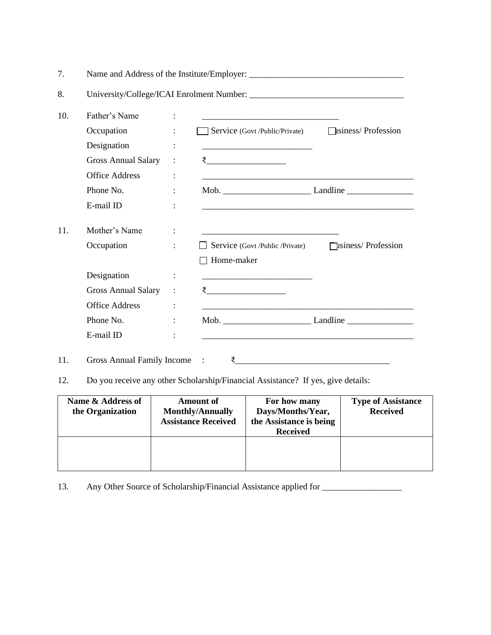| 7.  |                                   |                      |                                                                                                                         |  |
|-----|-----------------------------------|----------------------|-------------------------------------------------------------------------------------------------------------------------|--|
| 8.  |                                   |                      |                                                                                                                         |  |
| 10. | Father's Name                     | $\ddot{\cdot}$       |                                                                                                                         |  |
|     | Occupation                        | $\ddot{\phantom{a}}$ | Service (Govt /Public/Private) <b>Isiness/</b> Profession                                                               |  |
|     | Designation                       |                      |                                                                                                                         |  |
|     | <b>Gross Annual Salary</b>        | $\ddot{\cdot}$       | रे $\qquad \qquad$                                                                                                      |  |
|     | <b>Office Address</b>             | $\ddot{\cdot}$       |                                                                                                                         |  |
|     | Phone No.                         | ÷                    |                                                                                                                         |  |
|     | E-mail ID                         |                      |                                                                                                                         |  |
| 11. | Mother's Name                     | $\ddot{\cdot}$       |                                                                                                                         |  |
|     | Occupation                        | ÷                    | Service (Govt /Public /Private) <b>Fusiness</b> Profession                                                              |  |
|     |                                   |                      | $\Box$ Home-maker                                                                                                       |  |
|     | Designation                       |                      |                                                                                                                         |  |
|     | <b>Gross Annual Salary</b>        | $\ddot{\cdot}$       | <u>र __________________</u>                                                                                             |  |
|     | <b>Office Address</b>             | $\ddot{\cdot}$       | <u> 1989 - Johann Stoff, deutscher Stoff, der Stoff, der Stoff, der Stoff, der Stoff, der Stoff, der Stoff, der S</u>   |  |
|     | Phone No.                         | ÷                    |                                                                                                                         |  |
|     | E-mail ID                         |                      | <u> 1989 - Johann John Stoff, deutscher Stoff und der Stoff und der Stoff und der Stoff und der Stoff und der Stoff</u> |  |
| 11. | <b>Gross Annual Family Income</b> |                      | ₹                                                                                                                       |  |

12. Do you receive any other Scholarship/Financial Assistance? If yes, give details:

| Name & Address of<br>the Organization | <b>Amount of</b><br><b>Monthly/Annually</b><br><b>Assistance Received</b> | For how many<br>Days/Months/Year,<br>the Assistance is being<br><b>Received</b> | <b>Type of Assistance</b><br><b>Received</b> |
|---------------------------------------|---------------------------------------------------------------------------|---------------------------------------------------------------------------------|----------------------------------------------|
|                                       |                                                                           |                                                                                 |                                              |

13. Any Other Source of Scholarship/Financial Assistance applied for \_\_\_\_\_\_\_\_\_\_\_\_\_\_\_\_\_\_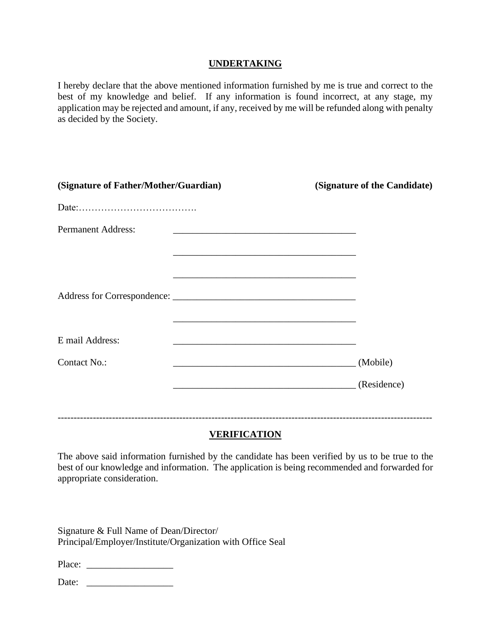#### **UNDERTAKING**

I hereby declare that the above mentioned information furnished by me is true and correct to the best of my knowledge and belief. If any information is found incorrect, at any stage, my application may be rejected and amount, if any, received by me will be refunded along with penalty as decided by the Society.

| (Signature of Father/Mother/Guardian) | (Signature of the Candidate)                                                                                                                                                                                                  |
|---------------------------------------|-------------------------------------------------------------------------------------------------------------------------------------------------------------------------------------------------------------------------------|
|                                       |                                                                                                                                                                                                                               |
| <b>Permanent Address:</b>             | <u> 1989 - Johann Stoff, amerikansk politiker (d. 1989)</u>                                                                                                                                                                   |
|                                       | the control of the control of the control of the control of the control of the control of the control of the control of the control of the control of the control of the control of the control of the control of the control |
|                                       | <u> 1989 - Johann Stoff, amerikansk politiker (* 1908)</u>                                                                                                                                                                    |
|                                       |                                                                                                                                                                                                                               |
|                                       |                                                                                                                                                                                                                               |
| E mail Address:                       |                                                                                                                                                                                                                               |
| Contact No.:                          | (Mobile)                                                                                                                                                                                                                      |
|                                       | (Residence)                                                                                                                                                                                                                   |
|                                       |                                                                                                                                                                                                                               |
|                                       |                                                                                                                                                                                                                               |

#### **VERIFICATION**

The above said information furnished by the candidate has been verified by us to be true to the best of our knowledge and information. The application is being recommended and forwarded for appropriate consideration.

Signature & Full Name of Dean/Director/ Principal/Employer/Institute/Organization with Office Seal

Place: \_\_\_\_\_\_\_\_\_\_\_\_\_\_\_\_\_\_

Date: \_\_\_\_\_\_\_\_\_\_\_\_\_\_\_\_\_\_